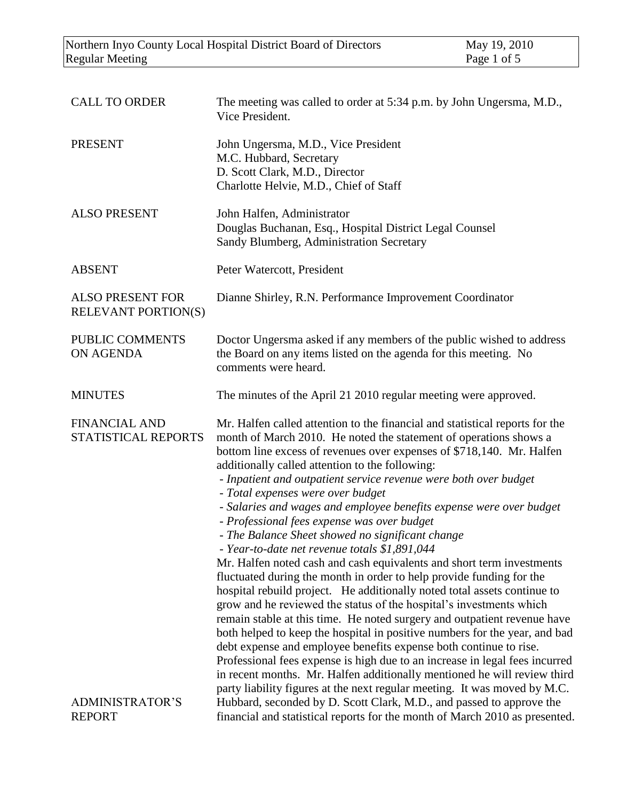| <b>CALL TO ORDER</b>                                  | The meeting was called to order at 5:34 p.m. by John Ungersma, M.D.,<br>Vice President.                                                                                                                                                                                                                                                                                                                                                                                                                                                                                                                                                                                                                                                                                                                                                                                                                                                                                                                                                                                                                                                                                                                                                                                                                                                                                                      |
|-------------------------------------------------------|----------------------------------------------------------------------------------------------------------------------------------------------------------------------------------------------------------------------------------------------------------------------------------------------------------------------------------------------------------------------------------------------------------------------------------------------------------------------------------------------------------------------------------------------------------------------------------------------------------------------------------------------------------------------------------------------------------------------------------------------------------------------------------------------------------------------------------------------------------------------------------------------------------------------------------------------------------------------------------------------------------------------------------------------------------------------------------------------------------------------------------------------------------------------------------------------------------------------------------------------------------------------------------------------------------------------------------------------------------------------------------------------|
| <b>PRESENT</b>                                        | John Ungersma, M.D., Vice President<br>M.C. Hubbard, Secretary<br>D. Scott Clark, M.D., Director<br>Charlotte Helvie, M.D., Chief of Staff                                                                                                                                                                                                                                                                                                                                                                                                                                                                                                                                                                                                                                                                                                                                                                                                                                                                                                                                                                                                                                                                                                                                                                                                                                                   |
| <b>ALSO PRESENT</b>                                   | John Halfen, Administrator<br>Douglas Buchanan, Esq., Hospital District Legal Counsel<br>Sandy Blumberg, Administration Secretary                                                                                                                                                                                                                                                                                                                                                                                                                                                                                                                                                                                                                                                                                                                                                                                                                                                                                                                                                                                                                                                                                                                                                                                                                                                            |
| <b>ABSENT</b>                                         | Peter Watercott, President                                                                                                                                                                                                                                                                                                                                                                                                                                                                                                                                                                                                                                                                                                                                                                                                                                                                                                                                                                                                                                                                                                                                                                                                                                                                                                                                                                   |
| <b>ALSO PRESENT FOR</b><br><b>RELEVANT PORTION(S)</b> | Dianne Shirley, R.N. Performance Improvement Coordinator                                                                                                                                                                                                                                                                                                                                                                                                                                                                                                                                                                                                                                                                                                                                                                                                                                                                                                                                                                                                                                                                                                                                                                                                                                                                                                                                     |
| PUBLIC COMMENTS<br>ON AGENDA                          | Doctor Ungersma asked if any members of the public wished to address<br>the Board on any items listed on the agenda for this meeting. No<br>comments were heard.                                                                                                                                                                                                                                                                                                                                                                                                                                                                                                                                                                                                                                                                                                                                                                                                                                                                                                                                                                                                                                                                                                                                                                                                                             |
| <b>MINUTES</b>                                        | The minutes of the April 21 2010 regular meeting were approved.                                                                                                                                                                                                                                                                                                                                                                                                                                                                                                                                                                                                                                                                                                                                                                                                                                                                                                                                                                                                                                                                                                                                                                                                                                                                                                                              |
| <b>FINANCIAL AND</b><br>STATISTICAL REPORTS           | Mr. Halfen called attention to the financial and statistical reports for the<br>month of March 2010. He noted the statement of operations shows a<br>bottom line excess of revenues over expenses of \$718,140. Mr. Halfen<br>additionally called attention to the following:<br>- Inpatient and outpatient service revenue were both over budget<br>- Total expenses were over budget<br>- Salaries and wages and employee benefits expense were over budget<br>- Professional fees expense was over budget<br>- The Balance Sheet showed no significant change<br>- Year-to-date net revenue totals \$1,891,044<br>Mr. Halfen noted cash and cash equivalents and short term investments<br>fluctuated during the month in order to help provide funding for the<br>hospital rebuild project. He additionally noted total assets continue to<br>grow and he reviewed the status of the hospital's investments which<br>remain stable at this time. He noted surgery and outpatient revenue have<br>both helped to keep the hospital in positive numbers for the year, and bad<br>debt expense and employee benefits expense both continue to rise.<br>Professional fees expense is high due to an increase in legal fees incurred<br>in recent months. Mr. Halfen additionally mentioned he will review third<br>party liability figures at the next regular meeting. It was moved by M.C. |
| <b>ADMINISTRATOR'S</b>                                |                                                                                                                                                                                                                                                                                                                                                                                                                                                                                                                                                                                                                                                                                                                                                                                                                                                                                                                                                                                                                                                                                                                                                                                                                                                                                                                                                                                              |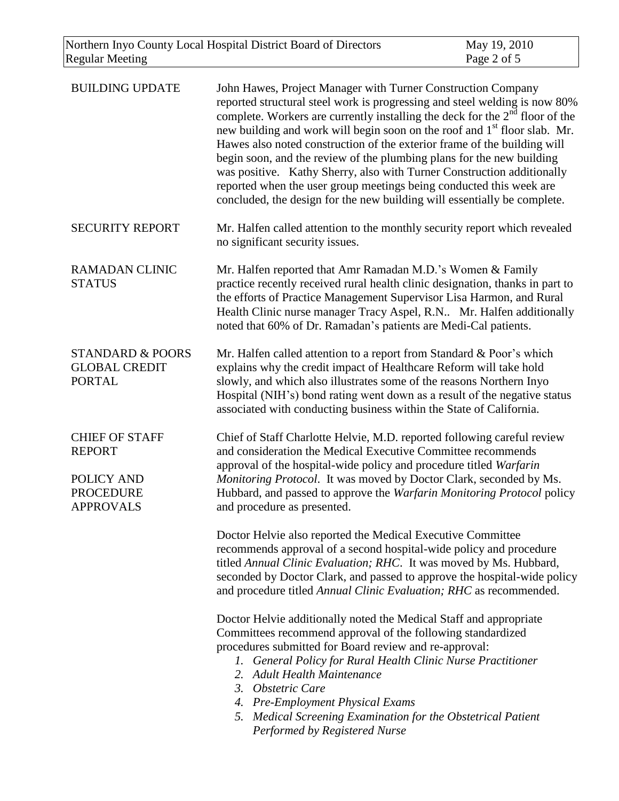| <b>BUILDING UPDATE</b>                                                                       | John Hawes, Project Manager with Turner Construction Company<br>reported structural steel work is progressing and steel welding is now 80%<br>complete. Workers are currently installing the deck for the $2nd$ floor of the<br>new building and work will begin soon on the roof and 1 <sup>st</sup> floor slab. Mr.<br>Hawes also noted construction of the exterior frame of the building will<br>begin soon, and the review of the plumbing plans for the new building<br>was positive. Kathy Sherry, also with Turner Construction additionally<br>reported when the user group meetings being conducted this week are<br>concluded, the design for the new building will essentially be complete. |
|----------------------------------------------------------------------------------------------|---------------------------------------------------------------------------------------------------------------------------------------------------------------------------------------------------------------------------------------------------------------------------------------------------------------------------------------------------------------------------------------------------------------------------------------------------------------------------------------------------------------------------------------------------------------------------------------------------------------------------------------------------------------------------------------------------------|
| <b>SECURITY REPORT</b>                                                                       | Mr. Halfen called attention to the monthly security report which revealed<br>no significant security issues.                                                                                                                                                                                                                                                                                                                                                                                                                                                                                                                                                                                            |
| <b>RAMADAN CLINIC</b><br><b>STATUS</b>                                                       | Mr. Halfen reported that Amr Ramadan M.D.'s Women & Family<br>practice recently received rural health clinic designation, thanks in part to<br>the efforts of Practice Management Supervisor Lisa Harmon, and Rural<br>Health Clinic nurse manager Tracy Aspel, R.N Mr. Halfen additionally<br>noted that 60% of Dr. Ramadan's patients are Medi-Cal patients.                                                                                                                                                                                                                                                                                                                                          |
| <b>STANDARD &amp; POORS</b><br><b>GLOBAL CREDIT</b><br><b>PORTAL</b>                         | Mr. Halfen called attention to a report from Standard & Poor's which<br>explains why the credit impact of Healthcare Reform will take hold<br>slowly, and which also illustrates some of the reasons Northern Inyo<br>Hospital (NIH's) bond rating went down as a result of the negative status<br>associated with conducting business within the State of California.                                                                                                                                                                                                                                                                                                                                  |
| <b>CHIEF OF STAFF</b><br><b>REPORT</b><br>POLICY AND<br><b>PROCEDURE</b><br><b>APPROVALS</b> | Chief of Staff Charlotte Helvie, M.D. reported following careful review<br>and consideration the Medical Executive Committee recommends<br>approval of the hospital-wide policy and procedure titled Warfarin<br>Monitoring Protocol. It was moved by Doctor Clark, seconded by Ms.<br>Hubbard, and passed to approve the Warfarin Monitoring Protocol policy<br>and procedure as presented.                                                                                                                                                                                                                                                                                                            |
|                                                                                              | Doctor Helvie also reported the Medical Executive Committee<br>recommends approval of a second hospital-wide policy and procedure<br>titled Annual Clinic Evaluation; RHC. It was moved by Ms. Hubbard,<br>seconded by Doctor Clark, and passed to approve the hospital-wide policy<br>and procedure titled Annual Clinic Evaluation; RHC as recommended.                                                                                                                                                                                                                                                                                                                                               |
|                                                                                              | Doctor Helvie additionally noted the Medical Staff and appropriate<br>Committees recommend approval of the following standardized<br>procedures submitted for Board review and re-approval:<br>1. General Policy for Rural Health Clinic Nurse Practitioner<br><b>Adult Health Maintenance</b><br>2.<br>3. Obstetric Care<br>4. Pre-Employment Physical Exams<br>5. Medical Screening Examination for the Obstetrical Patient<br>Performed by Registered Nurse                                                                                                                                                                                                                                          |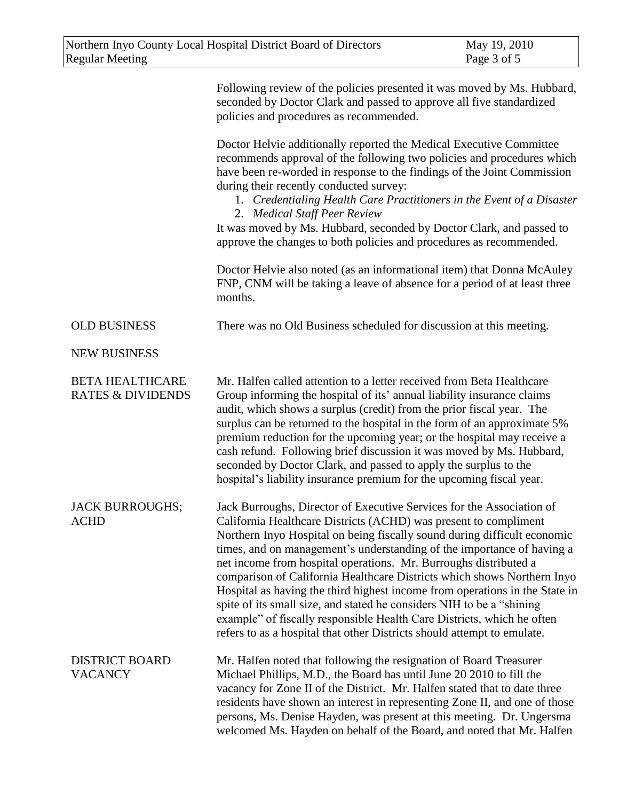|                                                        | Following review of the policies presented it was moved by Ms. Hubbard,<br>seconded by Doctor Clark and passed to approve all five standardized<br>policies and procedures as recommended.                                                                                                                                                                                                                                                                                                                                                                                                                                                                                                                                                                   |  |
|--------------------------------------------------------|--------------------------------------------------------------------------------------------------------------------------------------------------------------------------------------------------------------------------------------------------------------------------------------------------------------------------------------------------------------------------------------------------------------------------------------------------------------------------------------------------------------------------------------------------------------------------------------------------------------------------------------------------------------------------------------------------------------------------------------------------------------|--|
|                                                        | Doctor Helvie additionally reported the Medical Executive Committee<br>recommends approval of the following two policies and procedures which<br>have been re-worded in response to the findings of the Joint Commission<br>during their recently conducted survey:<br>1. Credentialing Health Care Practitioners in the Event of a Disaster<br>2. Medical Staff Peer Review<br>It was moved by Ms. Hubbard, seconded by Doctor Clark, and passed to<br>approve the changes to both policies and procedures as recommended.                                                                                                                                                                                                                                  |  |
|                                                        | Doctor Helvie also noted (as an informational item) that Donna McAuley<br>FNP, CNM will be taking a leave of absence for a period of at least three<br>months.                                                                                                                                                                                                                                                                                                                                                                                                                                                                                                                                                                                               |  |
| <b>OLD BUSINESS</b>                                    | There was no Old Business scheduled for discussion at this meeting.                                                                                                                                                                                                                                                                                                                                                                                                                                                                                                                                                                                                                                                                                          |  |
| <b>NEW BUSINESS</b>                                    |                                                                                                                                                                                                                                                                                                                                                                                                                                                                                                                                                                                                                                                                                                                                                              |  |
| <b>BETA HEALTHCARE</b><br><b>RATES &amp; DIVIDENDS</b> | Mr. Halfen called attention to a letter received from Beta Healthcare<br>Group informing the hospital of its' annual liability insurance claims<br>audit, which shows a surplus (credit) from the prior fiscal year. The<br>surplus can be returned to the hospital in the form of an approximate 5%<br>premium reduction for the upcoming year; or the hospital may receive a<br>cash refund. Following brief discussion it was moved by Ms. Hubbard,<br>seconded by Doctor Clark, and passed to apply the surplus to the<br>hospital's liability insurance premium for the upcoming fiscal year.                                                                                                                                                           |  |
| <b>JACK BURROUGHS;</b><br><b>ACHD</b>                  | Jack Burroughs, Director of Executive Services for the Association of<br>California Healthcare Districts (ACHD) was present to compliment<br>Northern Inyo Hospital on being fiscally sound during difficult economic<br>times, and on management's understanding of the importance of having a<br>net income from hospital operations. Mr. Burroughs distributed a<br>comparison of California Healthcare Districts which shows Northern Inyo<br>Hospital as having the third highest income from operations in the State in<br>spite of its small size, and stated he considers NIH to be a "shining"<br>example" of fiscally responsible Health Care Districts, which he often<br>refers to as a hospital that other Districts should attempt to emulate. |  |
| <b>DISTRICT BOARD</b><br><b>VACANCY</b>                | Mr. Halfen noted that following the resignation of Board Treasurer<br>Michael Phillips, M.D., the Board has until June 20 2010 to fill the<br>vacancy for Zone II of the District. Mr. Halfen stated that to date three<br>residents have shown an interest in representing Zone II, and one of those<br>persons, Ms. Denise Hayden, was present at this meeting. Dr. Ungersma<br>welcomed Ms. Hayden on behalf of the Board, and noted that Mr. Halfen                                                                                                                                                                                                                                                                                                      |  |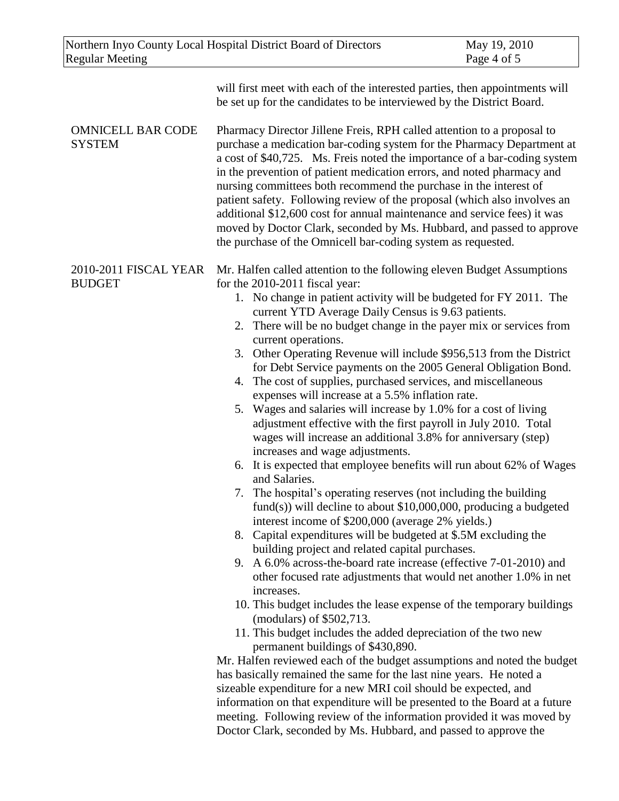| Northern Inyo County Local Hospital District Board of Directors |                                                                                                                                                                                                                                                                                                                                                                                                                                                                                                                                                                                                                                                                                                                                                                                                                                                                                                                                                                                                                                                                                                                                                                                                                                                                                                                                                                                                                                                                                                                                                                                                                                                                                                                                                                                                                                                                                                                                                                                                                                                                                  | May 19, 2010 |
|-----------------------------------------------------------------|----------------------------------------------------------------------------------------------------------------------------------------------------------------------------------------------------------------------------------------------------------------------------------------------------------------------------------------------------------------------------------------------------------------------------------------------------------------------------------------------------------------------------------------------------------------------------------------------------------------------------------------------------------------------------------------------------------------------------------------------------------------------------------------------------------------------------------------------------------------------------------------------------------------------------------------------------------------------------------------------------------------------------------------------------------------------------------------------------------------------------------------------------------------------------------------------------------------------------------------------------------------------------------------------------------------------------------------------------------------------------------------------------------------------------------------------------------------------------------------------------------------------------------------------------------------------------------------------------------------------------------------------------------------------------------------------------------------------------------------------------------------------------------------------------------------------------------------------------------------------------------------------------------------------------------------------------------------------------------------------------------------------------------------------------------------------------------|--------------|
| <b>Regular Meeting</b>                                          |                                                                                                                                                                                                                                                                                                                                                                                                                                                                                                                                                                                                                                                                                                                                                                                                                                                                                                                                                                                                                                                                                                                                                                                                                                                                                                                                                                                                                                                                                                                                                                                                                                                                                                                                                                                                                                                                                                                                                                                                                                                                                  | Page 4 of 5  |
|                                                                 | will first meet with each of the interested parties, then appointments will<br>be set up for the candidates to be interviewed by the District Board.                                                                                                                                                                                                                                                                                                                                                                                                                                                                                                                                                                                                                                                                                                                                                                                                                                                                                                                                                                                                                                                                                                                                                                                                                                                                                                                                                                                                                                                                                                                                                                                                                                                                                                                                                                                                                                                                                                                             |              |
| <b>OMNICELL BAR CODE</b><br><b>SYSTEM</b>                       | Pharmacy Director Jillene Freis, RPH called attention to a proposal to<br>purchase a medication bar-coding system for the Pharmacy Department at<br>a cost of \$40,725. Ms. Freis noted the importance of a bar-coding system<br>in the prevention of patient medication errors, and noted pharmacy and<br>nursing committees both recommend the purchase in the interest of<br>patient safety. Following review of the proposal (which also involves an<br>additional \$12,600 cost for annual maintenance and service fees) it was<br>moved by Doctor Clark, seconded by Ms. Hubbard, and passed to approve<br>the purchase of the Omnicell bar-coding system as requested.                                                                                                                                                                                                                                                                                                                                                                                                                                                                                                                                                                                                                                                                                                                                                                                                                                                                                                                                                                                                                                                                                                                                                                                                                                                                                                                                                                                                    |              |
| 2010-2011 FISCAL YEAR<br><b>BUDGET</b>                          | Mr. Halfen called attention to the following eleven Budget Assumptions<br>for the 2010-2011 fiscal year:<br>1. No change in patient activity will be budgeted for FY 2011. The<br>current YTD Average Daily Census is 9.63 patients.<br>2. There will be no budget change in the payer mix or services from<br>current operations.<br>3. Other Operating Revenue will include \$956,513 from the District<br>for Debt Service payments on the 2005 General Obligation Bond.<br>4. The cost of supplies, purchased services, and miscellaneous<br>expenses will increase at a 5.5% inflation rate.<br>5. Wages and salaries will increase by 1.0% for a cost of living<br>adjustment effective with the first payroll in July 2010. Total<br>wages will increase an additional 3.8% for anniversary (step)<br>increases and wage adjustments.<br>6. It is expected that employee benefits will run about 62% of Wages<br>and Salaries.<br>7. The hospital's operating reserves (not including the building<br>fund(s)) will decline to about $$10,000,000$ , producing a budgeted<br>interest income of \$200,000 (average 2% yields.)<br>8. Capital expenditures will be budgeted at \$.5M excluding the<br>building project and related capital purchases.<br>9. A 6.0% across-the-board rate increase (effective 7-01-2010) and<br>other focused rate adjustments that would net another 1.0% in net<br>increases.<br>10. This budget includes the lease expense of the temporary buildings<br>(modulars) of \$502,713.<br>11. This budget includes the added depreciation of the two new<br>permanent buildings of \$430,890.<br>Mr. Halfen reviewed each of the budget assumptions and noted the budget<br>has basically remained the same for the last nine years. He noted a<br>sizeable expenditure for a new MRI coil should be expected, and<br>information on that expenditure will be presented to the Board at a future<br>meeting. Following review of the information provided it was moved by<br>Doctor Clark, seconded by Ms. Hubbard, and passed to approve the |              |